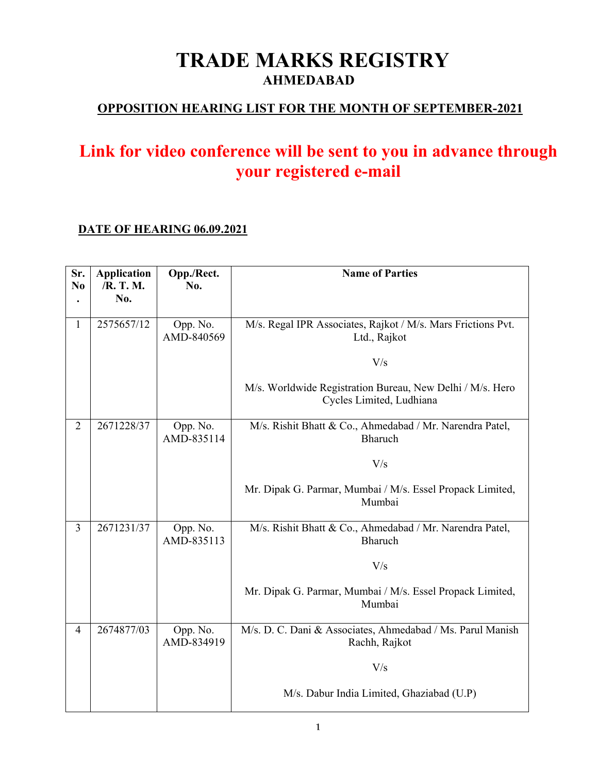# **TRADE MARKS REGISTRY AHMEDABAD**

### **OPPOSITION HEARING LIST FOR THE MONTH OF SEPTEMBER-2021**

## **Link for video conference will be sent to you in advance through your registered e-mail**

#### **DATE OF HEARING 06.09.2021**

| Sr.<br>N <sub>0</sub> | <b>Application</b><br>/R. T. M. | Opp./Rect.<br>No.      | <b>Name of Parties</b>                                                                |
|-----------------------|---------------------------------|------------------------|---------------------------------------------------------------------------------------|
|                       | No.                             |                        |                                                                                       |
| $\mathbf{1}$          | 2575657/12                      | Opp. No.<br>AMD-840569 | M/s. Regal IPR Associates, Rajkot / M/s. Mars Frictions Pvt.<br>Ltd., Rajkot          |
|                       |                                 |                        | V/s                                                                                   |
|                       |                                 |                        | M/s. Worldwide Registration Bureau, New Delhi / M/s. Hero<br>Cycles Limited, Ludhiana |
| $\overline{2}$        | 2671228/37                      | Opp. No.<br>AMD-835114 | M/s. Rishit Bhatt & Co., Ahmedabad / Mr. Narendra Patel,<br>Bharuch                   |
|                       |                                 |                        | V/s                                                                                   |
|                       |                                 |                        | Mr. Dipak G. Parmar, Mumbai / M/s. Essel Propack Limited,<br>Mumbai                   |
| $\overline{3}$        | 2671231/37                      | Opp. No.<br>AMD-835113 | M/s. Rishit Bhatt & Co., Ahmedabad / Mr. Narendra Patel,<br>Bharuch                   |
|                       |                                 |                        | V/s                                                                                   |
|                       |                                 |                        | Mr. Dipak G. Parmar, Mumbai / M/s. Essel Propack Limited,<br>Mumbai                   |
| $\overline{4}$        | 2674877/03                      | Opp. No.<br>AMD-834919 | M/s. D. C. Dani & Associates, Ahmedabad / Ms. Parul Manish<br>Rachh, Rajkot           |
|                       |                                 |                        | V/s                                                                                   |
|                       |                                 |                        | M/s. Dabur India Limited, Ghaziabad (U.P)                                             |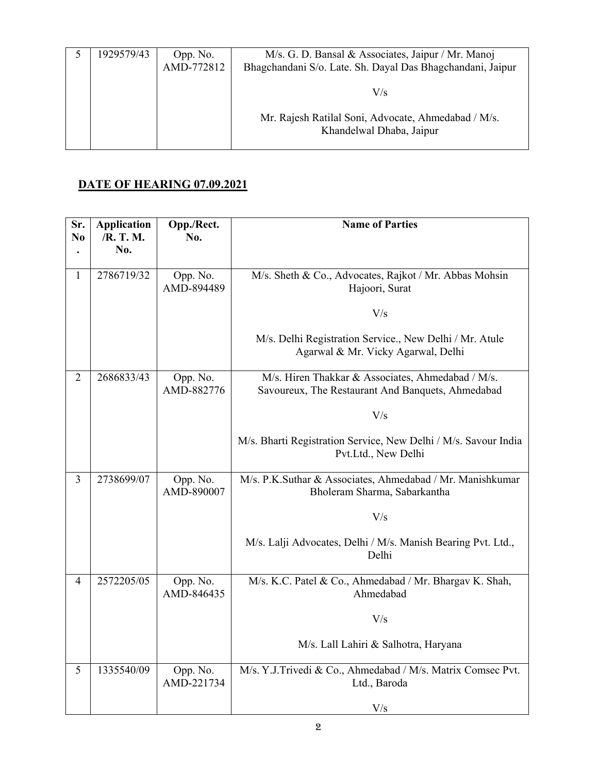| 1929579/43 | Opp. No.<br>AMD-772812 | M/s. G. D. Bansal & Associates, Jaipur / Mr. Manoj<br>Bhagchandani S/o. Late. Sh. Dayal Das Bhagchandani, Jaipur |
|------------|------------------------|------------------------------------------------------------------------------------------------------------------|
|            |                        | V/s                                                                                                              |
|            |                        | Mr. Rajesh Ratilal Soni, Advocate, Ahmedabad / M/s.<br>Khandelwal Dhaba, Jaipur                                  |

#### **DATE OF HEARING 07.09.2021**

| Sr.<br>N <sub>0</sub> | <b>Application</b><br>/R. T. M.<br>No. | Opp./Rect.<br>No.      | <b>Name of Parties</b>                                                                                 |
|-----------------------|----------------------------------------|------------------------|--------------------------------------------------------------------------------------------------------|
| $\mathbf{1}$          | 2786719/32                             | Opp. No.<br>AMD-894489 | M/s. Sheth & Co., Advocates, Rajkot / Mr. Abbas Mohsin<br>Hajoori, Surat                               |
|                       |                                        |                        | V/s                                                                                                    |
|                       |                                        |                        | M/s. Delhi Registration Service., New Delhi / Mr. Atule<br>Agarwal & Mr. Vicky Agarwal, Delhi          |
| $\overline{2}$        | 2686833/43                             | Opp. No.<br>AMD-882776 | M/s. Hiren Thakkar & Associates, Ahmedabad / M/s.<br>Savoureux, The Restaurant And Banquets, Ahmedabad |
|                       |                                        |                        | V/s                                                                                                    |
|                       |                                        |                        | M/s. Bharti Registration Service, New Delhi / M/s. Savour India<br>Pvt.Ltd., New Delhi                 |
| $\overline{3}$        | 2738699/07                             | Opp. No.<br>AMD-890007 | M/s. P.K.Suthar & Associates, Ahmedabad / Mr. Manishkumar<br>Bholeram Sharma, Sabarkantha              |
|                       |                                        |                        | V/s                                                                                                    |
|                       |                                        |                        | M/s. Lalji Advocates, Delhi / M/s. Manish Bearing Pvt. Ltd.,<br>Delhi                                  |
| $\overline{4}$        | 2572205/05                             | Opp. No.<br>AMD-846435 | M/s. K.C. Patel & Co., Ahmedabad / Mr. Bhargav K. Shah,<br>Ahmedabad                                   |
|                       |                                        |                        | V/s                                                                                                    |
|                       |                                        |                        | M/s. Lall Lahiri & Salhotra, Haryana                                                                   |
| 5                     | 1335540/09                             | Opp. No.<br>AMD-221734 | M/s. Y.J.Trivedi & Co., Ahmedabad / M/s. Matrix Comsec Pvt.<br>Ltd., Baroda                            |
|                       |                                        |                        | V/s                                                                                                    |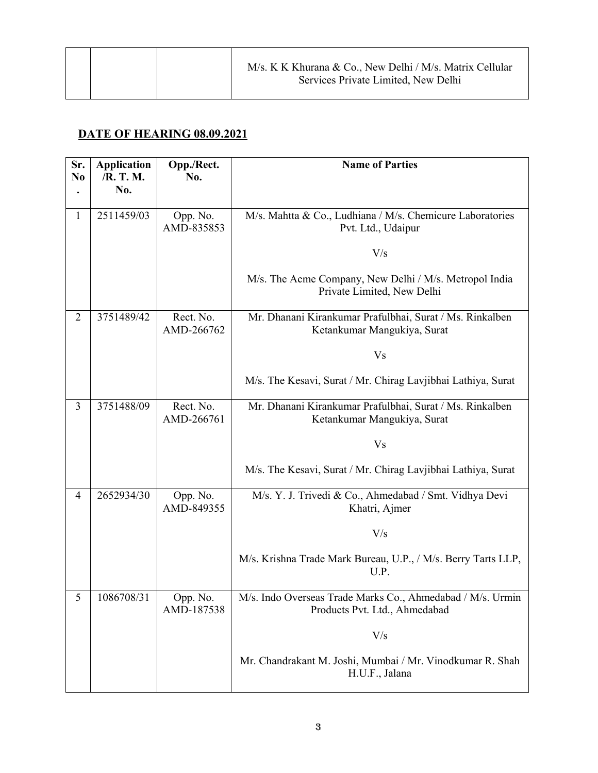#### **DATE OF HEARING 08.09.2021**

| Sr.<br>N <sub>0</sub> | <b>Application</b><br>/R. T. M.<br>No. | Opp./Rect.<br>No.       | <b>Name of Parties</b>                                                                      |
|-----------------------|----------------------------------------|-------------------------|---------------------------------------------------------------------------------------------|
| 1                     | 2511459/03                             | Opp. No.<br>AMD-835853  | M/s. Mahtta & Co., Ludhiana / M/s. Chemicure Laboratories<br>Pvt. Ltd., Udaipur             |
|                       |                                        |                         | V/s                                                                                         |
|                       |                                        |                         | M/s. The Acme Company, New Delhi / M/s. Metropol India<br>Private Limited, New Delhi        |
| $\overline{2}$        | 3751489/42                             | Rect. No.<br>AMD-266762 | Mr. Dhanani Kirankumar Prafulbhai, Surat / Ms. Rinkalben<br>Ketankumar Mangukiya, Surat     |
|                       |                                        |                         | V <sub>s</sub>                                                                              |
|                       |                                        |                         | M/s. The Kesavi, Surat / Mr. Chirag Lavjibhai Lathiya, Surat                                |
| 3                     | 3751488/09                             | Rect. No.<br>AMD-266761 | Mr. Dhanani Kirankumar Prafulbhai, Surat / Ms. Rinkalben<br>Ketankumar Mangukiya, Surat     |
|                       |                                        |                         | V <sub>s</sub>                                                                              |
|                       |                                        |                         | M/s. The Kesavi, Surat / Mr. Chirag Lavjibhai Lathiya, Surat                                |
| 4                     | 2652934/30                             | Opp. No.<br>AMD-849355  | M/s. Y. J. Trivedi & Co., Ahmedabad / Smt. Vidhya Devi<br>Khatri, Ajmer                     |
|                       |                                        |                         | V/s                                                                                         |
|                       |                                        |                         | M/s. Krishna Trade Mark Bureau, U.P., / M/s. Berry Tarts LLP,<br>U.P.                       |
| 5                     | 1086708/31                             | Opp. No.<br>AMD-187538  | M/s. Indo Overseas Trade Marks Co., Ahmedabad / M/s. Urmin<br>Products Pvt. Ltd., Ahmedabad |
|                       |                                        |                         | V/s                                                                                         |
|                       |                                        |                         | Mr. Chandrakant M. Joshi, Mumbai / Mr. Vinodkumar R. Shah<br>H.U.F., Jalana                 |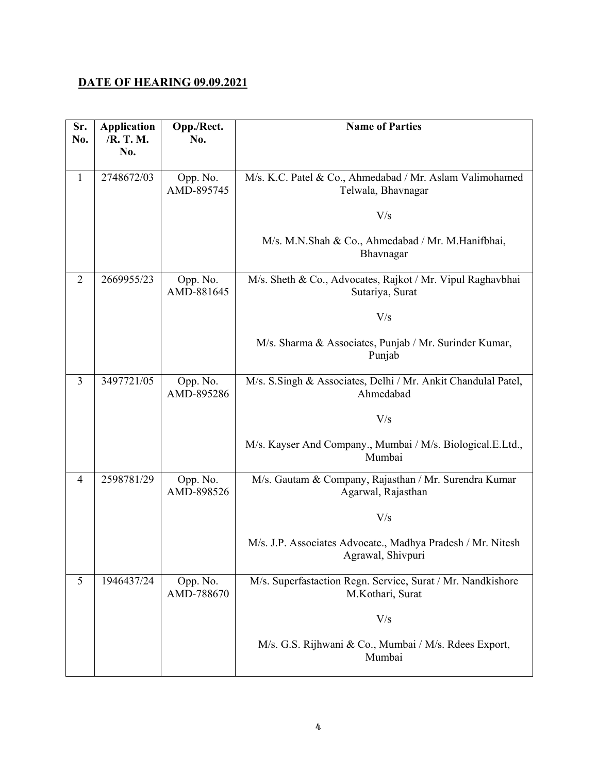#### **DATE OF HEARING 09.09.2021**

| Sr.<br>No.     | <b>Application</b><br>/R. T. M.<br>No. | Opp./Rect.<br>No.      | <b>Name of Parties</b>                                                           |
|----------------|----------------------------------------|------------------------|----------------------------------------------------------------------------------|
| $\mathbf{1}$   | 2748672/03                             | Opp. No.<br>AMD-895745 | M/s. K.C. Patel & Co., Ahmedabad / Mr. Aslam Valimohamed<br>Telwala, Bhavnagar   |
|                |                                        |                        | V/s                                                                              |
|                |                                        |                        | M/s. M.N.Shah & Co., Ahmedabad / Mr. M.Hanifbhai,<br>Bhavnagar                   |
| $\overline{2}$ | 2669955/23                             | Opp. No.<br>AMD-881645 | M/s. Sheth & Co., Advocates, Rajkot / Mr. Vipul Raghavbhai<br>Sutariya, Surat    |
|                |                                        |                        | V/s                                                                              |
|                |                                        |                        | M/s. Sharma & Associates, Punjab / Mr. Surinder Kumar,<br>Punjab                 |
| 3              | 3497721/05                             | Opp. No.<br>AMD-895286 | M/s. S.Singh & Associates, Delhi / Mr. Ankit Chandulal Patel,<br>Ahmedabad       |
|                |                                        |                        | V/s                                                                              |
|                |                                        |                        | M/s. Kayser And Company., Mumbai / M/s. Biological.E.Ltd.,<br>Mumbai             |
| $\overline{4}$ | 2598781/29                             | Opp. No.<br>AMD-898526 | M/s. Gautam & Company, Rajasthan / Mr. Surendra Kumar<br>Agarwal, Rajasthan      |
|                |                                        |                        | V/s                                                                              |
|                |                                        |                        | M/s. J.P. Associates Advocate., Madhya Pradesh / Mr. Nitesh<br>Agrawal, Shivpuri |
| 5              | 1946437/24                             | Opp. No.<br>AMD-788670 | M/s. Superfastaction Regn. Service, Surat / Mr. Nandkishore<br>M.Kothari, Surat  |
|                |                                        |                        | V/s                                                                              |
|                |                                        |                        | M/s. G.S. Rijhwani & Co., Mumbai / M/s. Rdees Export,<br>Mumbai                  |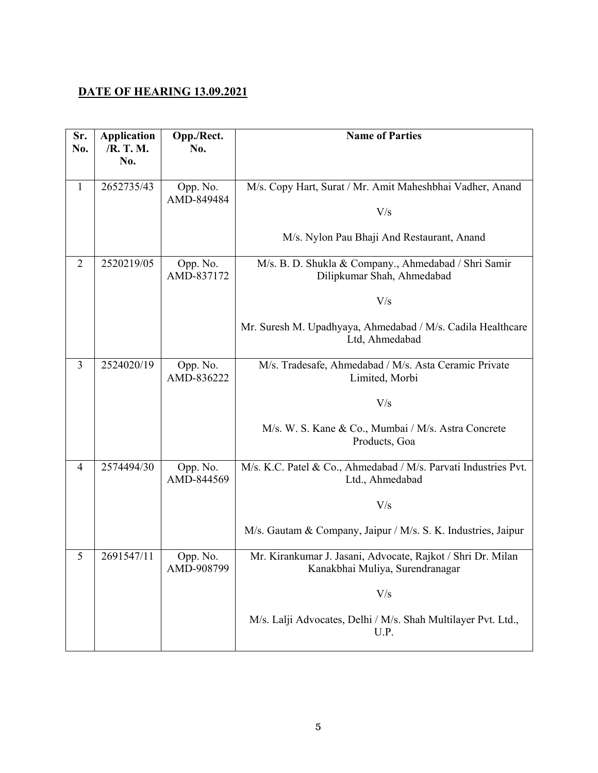#### **DATE OF HEARING 13.09.2021**

| Sr.<br>No.     | <b>Application</b><br>/R. T. M.<br>No. | Opp./Rect.<br>No.      | <b>Name of Parties</b>                                                                         |
|----------------|----------------------------------------|------------------------|------------------------------------------------------------------------------------------------|
|                |                                        |                        |                                                                                                |
| $\mathbf{1}$   | 2652735/43                             | Opp. No.               | M/s. Copy Hart, Surat / Mr. Amit Maheshbhai Vadher, Anand                                      |
|                |                                        | AMD-849484             | V/s                                                                                            |
|                |                                        |                        | M/s. Nylon Pau Bhaji And Restaurant, Anand                                                     |
| $\overline{2}$ | 2520219/05                             | Opp. No.<br>AMD-837172 | M/s. B. D. Shukla & Company., Ahmedabad / Shri Samir<br>Dilipkumar Shah, Ahmedabad             |
|                |                                        |                        | V/s                                                                                            |
|                |                                        |                        | Mr. Suresh M. Upadhyaya, Ahmedabad / M/s. Cadila Healthcare<br>Ltd, Ahmedabad                  |
| 3              | 2524020/19                             | Opp. No.<br>AMD-836222 | M/s. Tradesafe, Ahmedabad / M/s. Asta Ceramic Private<br>Limited, Morbi                        |
|                |                                        |                        | V/s                                                                                            |
|                |                                        |                        | M/s. W. S. Kane & Co., Mumbai / M/s. Astra Concrete<br>Products, Goa                           |
| 4              | 2574494/30                             | Opp. No.<br>AMD-844569 | M/s. K.C. Patel & Co., Ahmedabad / M/s. Parvati Industries Pvt.<br>Ltd., Ahmedabad             |
|                |                                        |                        | V/s                                                                                            |
|                |                                        |                        | M/s. Gautam & Company, Jaipur / M/s. S. K. Industries, Jaipur                                  |
| 5              | 2691547/11                             | Opp. No.<br>AMD-908799 | Mr. Kirankumar J. Jasani, Advocate, Rajkot / Shri Dr. Milan<br>Kanakbhai Muliya, Surendranagar |
|                |                                        |                        | V/s                                                                                            |
|                |                                        |                        | M/s. Lalji Advocates, Delhi / M/s. Shah Multilayer Pvt. Ltd.,<br>U.P.                          |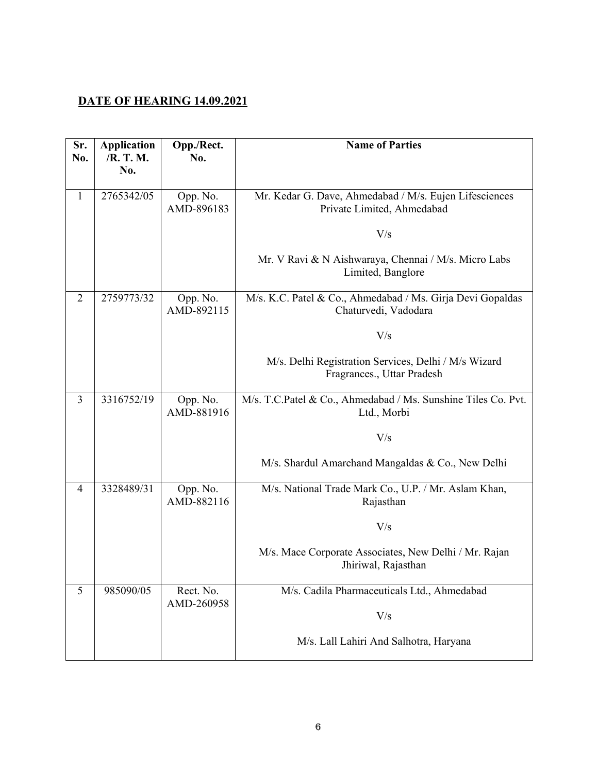#### **DATE OF HEARING 14.09.2021**

| Sr.<br>No.     | <b>Application</b><br>/R. T. M.<br>No. | Opp./Rect.<br>No.       | <b>Name of Parties</b>                                                               |
|----------------|----------------------------------------|-------------------------|--------------------------------------------------------------------------------------|
| $\mathbf{1}$   | 2765342/05                             | Opp. No.<br>AMD-896183  | Mr. Kedar G. Dave, Ahmedabad / M/s. Eujen Lifesciences<br>Private Limited, Ahmedabad |
|                |                                        |                         | V/s                                                                                  |
|                |                                        |                         | Mr. V Ravi & N Aishwaraya, Chennai / M/s. Micro Labs<br>Limited, Banglore            |
| $\overline{2}$ | 2759773/32                             | Opp. No.<br>AMD-892115  | M/s. K.C. Patel & Co., Ahmedabad / Ms. Girja Devi Gopaldas<br>Chaturvedi, Vadodara   |
|                |                                        |                         | V/s                                                                                  |
|                |                                        |                         | M/s. Delhi Registration Services, Delhi / M/s Wizard<br>Fragrances., Uttar Pradesh   |
| 3              | 3316752/19                             | Opp. No.<br>AMD-881916  | M/s. T.C.Patel & Co., Ahmedabad / Ms. Sunshine Tiles Co. Pvt.<br>Ltd., Morbi         |
|                |                                        |                         | V/s                                                                                  |
|                |                                        |                         | M/s. Shardul Amarchand Mangaldas & Co., New Delhi                                    |
| $\overline{4}$ | 3328489/31                             | Opp. No.<br>AMD-882116  | M/s. National Trade Mark Co., U.P. / Mr. Aslam Khan,<br>Rajasthan                    |
|                |                                        |                         | V/s                                                                                  |
|                |                                        |                         | M/s. Mace Corporate Associates, New Delhi / Mr. Rajan<br>Jhiriwal, Rajasthan         |
| 5              | 985090/05                              | Rect. No.<br>AMD-260958 | M/s. Cadila Pharmaceuticals Ltd., Ahmedabad                                          |
|                |                                        |                         | V/s                                                                                  |
|                |                                        |                         | M/s. Lall Lahiri And Salhotra, Haryana                                               |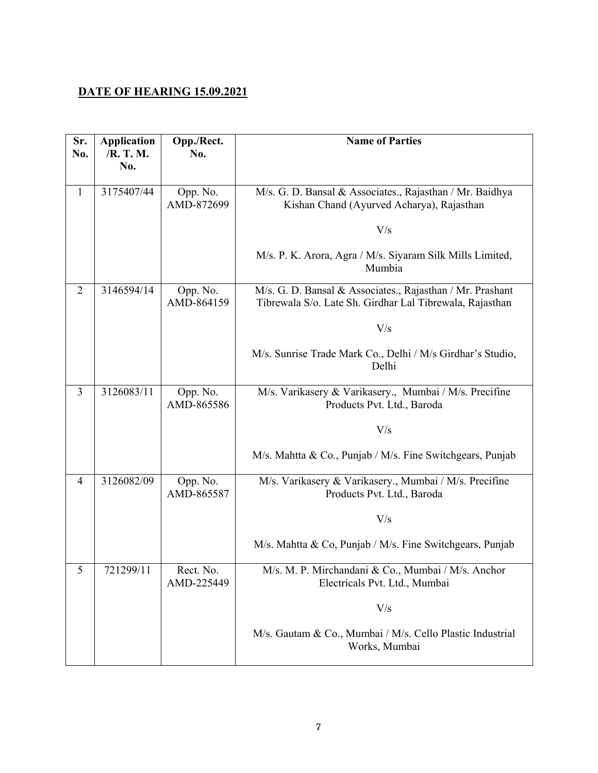#### **DATE OF HEARING 15.09.2021**

| Sr.<br>No.     | <b>Application</b><br>/R. T. M.<br>No. | Opp./Rect.<br>No.       | <b>Name of Parties</b>                                                                                                |
|----------------|----------------------------------------|-------------------------|-----------------------------------------------------------------------------------------------------------------------|
|                |                                        |                         |                                                                                                                       |
| $\mathbf{1}$   | 3175407/44                             | Opp. No.<br>AMD-872699  | M/s. G. D. Bansal & Associates., Rajasthan / Mr. Baidhya<br>Kishan Chand (Ayurved Acharya), Rajasthan                 |
|                |                                        |                         | V/s                                                                                                                   |
|                |                                        |                         | M/s. P. K. Arora, Agra / M/s. Siyaram Silk Mills Limited,<br>Mumbia                                                   |
| $\overline{2}$ | 3146594/14                             | Opp. No.<br>AMD-864159  | M/s. G. D. Bansal & Associates., Rajasthan / Mr. Prashant<br>Tibrewala S/o. Late Sh. Girdhar Lal Tibrewala, Rajasthan |
|                |                                        |                         | V/s                                                                                                                   |
|                |                                        |                         | M/s. Sunrise Trade Mark Co., Delhi / M/s Girdhar's Studio,<br>Delhi                                                   |
| 3              | 3126083/11                             | Opp. No.<br>AMD-865586  | M/s. Varikasery & Varikasery., Mumbai / M/s. Precifine<br>Products Pvt. Ltd., Baroda                                  |
|                |                                        |                         | V/s                                                                                                                   |
|                |                                        |                         | M/s. Mahtta & Co., Punjab / M/s. Fine Switchgears, Punjab                                                             |
| $\overline{4}$ | 3126082/09                             | Opp. No.<br>AMD-865587  | M/s. Varikasery & Varikasery., Mumbai / M/s. Precifine<br>Products Pvt. Ltd., Baroda                                  |
|                |                                        |                         | V/s                                                                                                                   |
|                |                                        |                         | M/s. Mahtta & Co, Punjab / M/s. Fine Switchgears, Punjab                                                              |
| 5              | 721299/11                              | Rect. No.<br>AMD-225449 | M/s. M. P. Mirchandani & Co., Mumbai / M/s. Anchor<br>Electricals Pvt. Ltd., Mumbai                                   |
|                |                                        |                         | V/s                                                                                                                   |
|                |                                        |                         | M/s. Gautam & Co., Mumbai / M/s. Cello Plastic Industrial<br>Works, Mumbai                                            |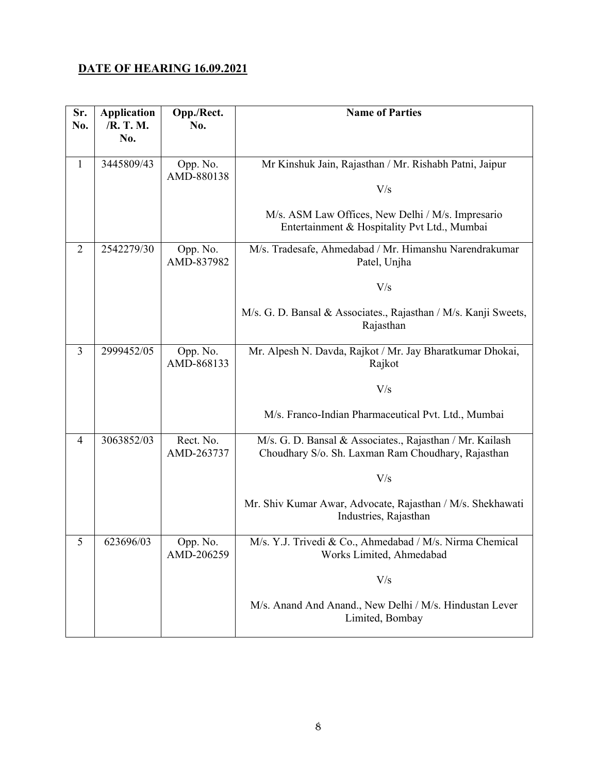#### **DATE OF HEARING 16.09.2021**

| Sr.<br>No.     | <b>Application</b><br>/R. T. M.<br>No. | Opp./Rect.<br>No.       | <b>Name of Parties</b>                                                                                         |
|----------------|----------------------------------------|-------------------------|----------------------------------------------------------------------------------------------------------------|
| $\mathbf{1}$   | 3445809/43                             | Opp. No.<br>AMD-880138  | Mr Kinshuk Jain, Rajasthan / Mr. Rishabh Patni, Jaipur                                                         |
|                |                                        |                         | V/s                                                                                                            |
|                |                                        |                         | M/s. ASM Law Offices, New Delhi / M/s. Impresario<br>Entertainment & Hospitality Pvt Ltd., Mumbai              |
| $\overline{2}$ | 2542279/30                             | Opp. No.<br>AMD-837982  | M/s. Tradesafe, Ahmedabad / Mr. Himanshu Narendrakumar<br>Patel, Unjha                                         |
|                |                                        |                         | V/s                                                                                                            |
|                |                                        |                         | M/s. G. D. Bansal & Associates., Rajasthan / M/s. Kanji Sweets,<br>Rajasthan                                   |
| 3              | 2999452/05                             | Opp. No.<br>AMD-868133  | Mr. Alpesh N. Davda, Rajkot / Mr. Jay Bharatkumar Dhokai,<br>Rajkot                                            |
|                |                                        |                         | V/s                                                                                                            |
|                |                                        |                         | M/s. Franco-Indian Pharmaceutical Pvt. Ltd., Mumbai                                                            |
| 4              | 3063852/03                             | Rect. No.<br>AMD-263737 | M/s. G. D. Bansal & Associates., Rajasthan / Mr. Kailash<br>Choudhary S/o. Sh. Laxman Ram Choudhary, Rajasthan |
|                |                                        |                         | V/s                                                                                                            |
|                |                                        |                         | Mr. Shiv Kumar Awar, Advocate, Rajasthan / M/s. Shekhawati<br>Industries, Rajasthan                            |
| 5              | 623696/03                              | Opp. No.<br>AMD-206259  | M/s. Y.J. Trivedi & Co., Ahmedabad / M/s. Nirma Chemical<br>Works Limited, Ahmedabad                           |
|                |                                        |                         | V/s                                                                                                            |
|                |                                        |                         | M/s. Anand And Anand., New Delhi / M/s. Hindustan Lever<br>Limited, Bombay                                     |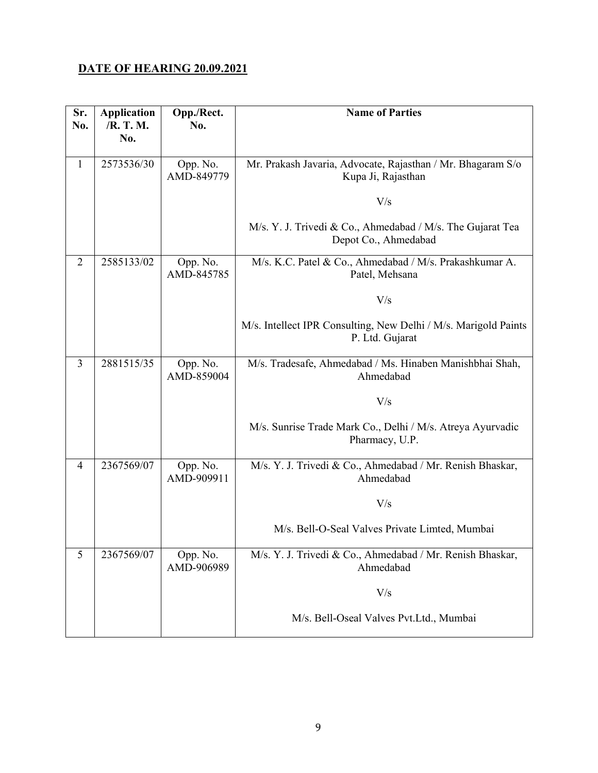#### **DATE OF HEARING 20.09.2021**

| Sr.<br>No.     | <b>Application</b><br>/R. T. M.<br>No. | Opp./Rect.<br>No.      | <b>Name of Parties</b>                                                             |
|----------------|----------------------------------------|------------------------|------------------------------------------------------------------------------------|
| $\mathbf{1}$   | 2573536/30                             | Opp. No.<br>AMD-849779 | Mr. Prakash Javaria, Advocate, Rajasthan / Mr. Bhagaram S/o<br>Kupa Ji, Rajasthan  |
|                |                                        |                        | V/s                                                                                |
|                |                                        |                        | M/s. Y. J. Trivedi & Co., Ahmedabad / M/s. The Gujarat Tea<br>Depot Co., Ahmedabad |
| $\overline{2}$ | 2585133/02                             | Opp. No.<br>AMD-845785 | M/s. K.C. Patel & Co., Ahmedabad / M/s. Prakashkumar A.<br>Patel, Mehsana          |
|                |                                        |                        | V/s                                                                                |
|                |                                        |                        | M/s. Intellect IPR Consulting, New Delhi / M/s. Marigold Paints<br>P. Ltd. Gujarat |
| 3              | 2881515/35                             | Opp. No.<br>AMD-859004 | M/s. Tradesafe, Ahmedabad / Ms. Hinaben Manishbhai Shah,<br>Ahmedabad              |
|                |                                        |                        | V/s                                                                                |
|                |                                        |                        | M/s. Sunrise Trade Mark Co., Delhi / M/s. Atreya Ayurvadic<br>Pharmacy, U.P.       |
| 4              | 2367569/07                             | Opp. No.<br>AMD-909911 | M/s. Y. J. Trivedi & Co., Ahmedabad / Mr. Renish Bhaskar,<br>Ahmedabad             |
|                |                                        |                        | V/s                                                                                |
|                |                                        |                        | M/s. Bell-O-Seal Valves Private Limted, Mumbai                                     |
| 5              | 2367569/07                             | Opp. No.<br>AMD-906989 | M/s. Y. J. Trivedi & Co., Ahmedabad / Mr. Renish Bhaskar,<br>Ahmedabad             |
|                |                                        |                        | V/s                                                                                |
|                |                                        |                        | M/s. Bell-Oseal Valves Pvt.Ltd., Mumbai                                            |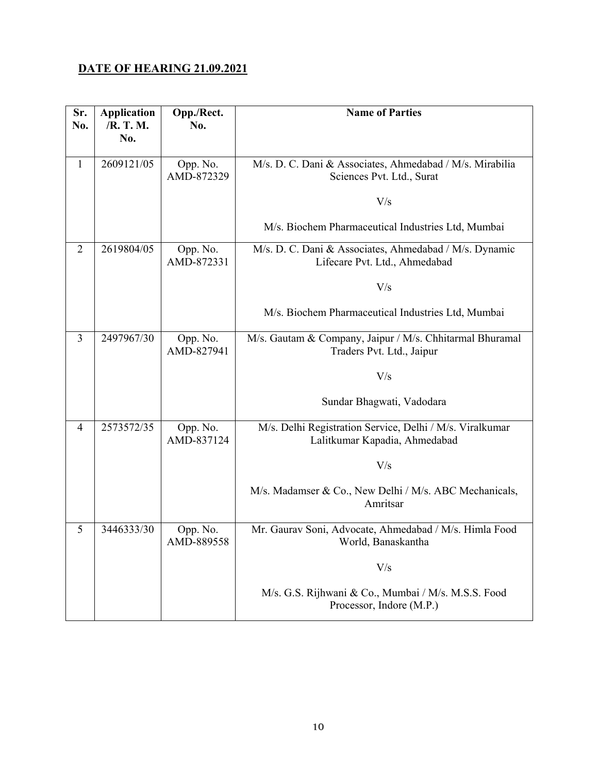#### **DATE OF HEARING 21.09.2021**

| Sr.<br>No.     | <b>Application</b><br>/R. T. M.<br>No. | Opp./Rect.<br>No.      | <b>Name of Parties</b>                                                                    |
|----------------|----------------------------------------|------------------------|-------------------------------------------------------------------------------------------|
| 1              | 2609121/05                             | Opp. No.<br>AMD-872329 | M/s. D. C. Dani & Associates, Ahmedabad / M/s. Mirabilia<br>Sciences Pvt. Ltd., Surat     |
|                |                                        |                        | V/s                                                                                       |
|                |                                        |                        | M/s. Biochem Pharmaceutical Industries Ltd, Mumbai                                        |
| $\overline{2}$ | 2619804/05                             | Opp. No.<br>AMD-872331 | M/s. D. C. Dani & Associates, Ahmedabad / M/s. Dynamic<br>Lifecare Pvt. Ltd., Ahmedabad   |
|                |                                        |                        | V/s                                                                                       |
|                |                                        |                        | M/s. Biochem Pharmaceutical Industries Ltd, Mumbai                                        |
| 3              | 2497967/30                             | Opp. No.<br>AMD-827941 | M/s. Gautam & Company, Jaipur / M/s. Chhitarmal Bhuramal<br>Traders Pvt. Ltd., Jaipur     |
|                |                                        |                        | V/s                                                                                       |
|                |                                        |                        | Sundar Bhagwati, Vadodara                                                                 |
| 4              | 2573572/35                             | Opp. No.<br>AMD-837124 | M/s. Delhi Registration Service, Delhi / M/s. Viralkumar<br>Lalitkumar Kapadia, Ahmedabad |
|                |                                        |                        | V/s                                                                                       |
|                |                                        |                        | M/s. Madamser & Co., New Delhi / M/s. ABC Mechanicals,<br>Amritsar                        |
| 5              | 3446333/30                             | Opp. No.<br>AMD-889558 | Mr. Gaurav Soni, Advocate, Ahmedabad / M/s. Himla Food<br>World, Banaskantha              |
|                |                                        |                        | V/s                                                                                       |
|                |                                        |                        | M/s. G.S. Rijhwani & Co., Mumbai / M/s. M.S.S. Food<br>Processor, Indore (M.P.)           |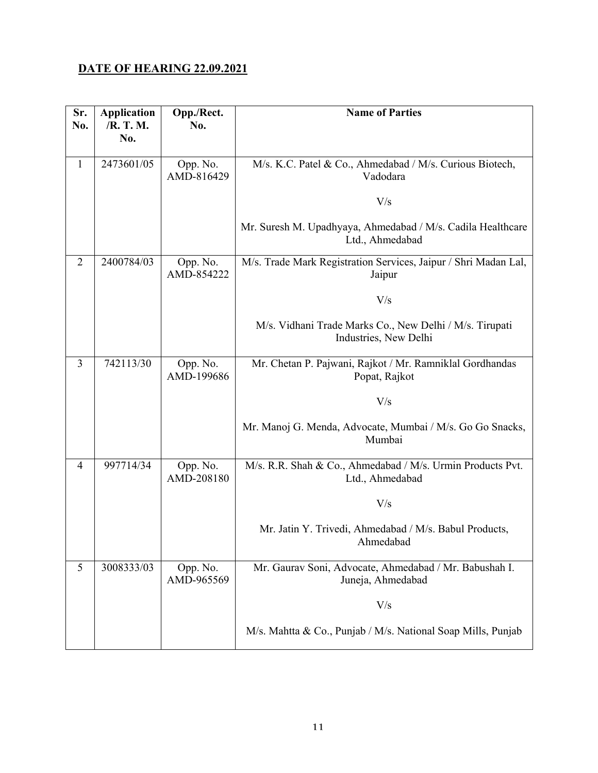#### **DATE OF HEARING 22.09.2021**

| Sr.<br>No.     | <b>Application</b><br>/R. T. M. | Opp./Rect.<br>No.      | <b>Name of Parties</b>                                                           |
|----------------|---------------------------------|------------------------|----------------------------------------------------------------------------------|
|                | No.                             |                        |                                                                                  |
| $\mathbf{1}$   | 2473601/05                      | Opp. No.<br>AMD-816429 | M/s. K.C. Patel & Co., Ahmedabad / M/s. Curious Biotech,<br>Vadodara             |
|                |                                 |                        | V/s                                                                              |
|                |                                 |                        | Mr. Suresh M. Upadhyaya, Ahmedabad / M/s. Cadila Healthcare<br>Ltd., Ahmedabad   |
| $\overline{2}$ | 2400784/03                      | Opp. No.<br>AMD-854222 | M/s. Trade Mark Registration Services, Jaipur / Shri Madan Lal,<br>Jaipur        |
|                |                                 |                        | V/s                                                                              |
|                |                                 |                        | M/s. Vidhani Trade Marks Co., New Delhi / M/s. Tirupati<br>Industries, New Delhi |
| 3              | 742113/30                       | Opp. No.<br>AMD-199686 | Mr. Chetan P. Pajwani, Rajkot / Mr. Ramniklal Gordhandas<br>Popat, Rajkot        |
|                |                                 |                        | V/s                                                                              |
|                |                                 |                        | Mr. Manoj G. Menda, Advocate, Mumbai / M/s. Go Go Snacks,<br>Mumbai              |
| 4              | 997714/34                       | Opp. No.<br>AMD-208180 | M/s. R.R. Shah & Co., Ahmedabad / M/s. Urmin Products Pvt.<br>Ltd., Ahmedabad    |
|                |                                 |                        | V/s                                                                              |
|                |                                 |                        | Mr. Jatin Y. Trivedi, Ahmedabad / M/s. Babul Products,<br>Ahmedabad              |
| 5              | 3008333/03                      | Opp. No.<br>AMD-965569 | Mr. Gaurav Soni, Advocate, Ahmedabad / Mr. Babushah I.<br>Juneja, Ahmedabad      |
|                |                                 |                        | V/s                                                                              |
|                |                                 |                        | M/s. Mahtta & Co., Punjab / M/s. National Soap Mills, Punjab                     |